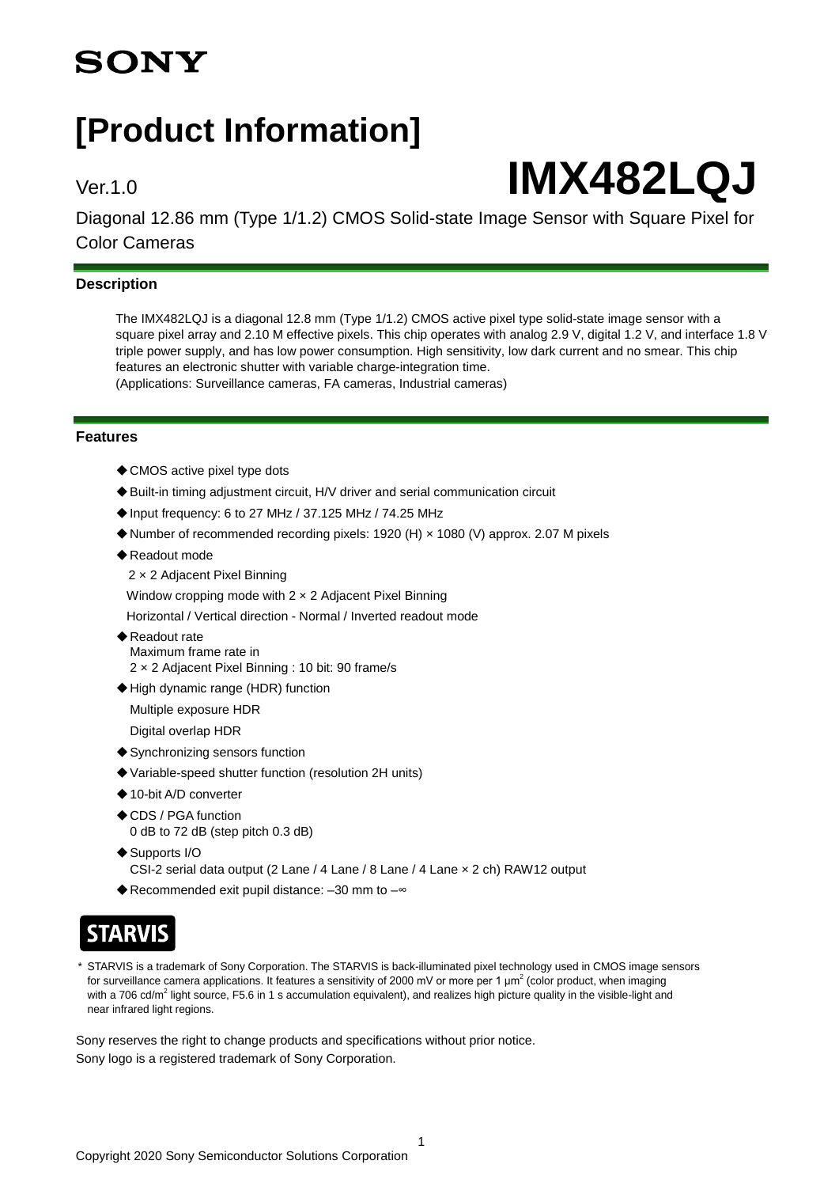## **SONY**

## **[Product Information]**

# Ver.1.0 **IMX482LQJ**

Diagonal 12.86 mm (Type 1/1.2) CMOS Solid-state Image Sensor with Square Pixel for Color Cameras

### **Description**

The IMX482LQJ is a diagonal 12.8 mm (Type 1/1.2) CMOS active pixel type solid-state image sensor with a square pixel array and 2.10 M effective pixels. This chip operates with analog 2.9 V, digital 1.2 V, and interface 1.8 V triple power supply, and has low power consumption. High sensitivity, low dark current and no smear. This chip features an electronic shutter with variable charge-integration time. (Applications: Surveillance cameras, FA cameras, Industrial cameras)

#### **Features**

- ◆ CMOS active pixel type dots
- ◆ Built-in timing adjustment circuit, H/V driver and serial communication circuit
- ◆Input frequency: 6 to 27 MHz / 37.125 MHz / 74.25 MHz
- ◆ Number of recommended recording pixels: 1920 (H) × 1080 (V) approx. 2.07 M pixels
- ◆Readout mode
	- 2 × 2 Adjacent Pixel Binning

Window cropping mode with 2 × 2 Adjacent Pixel Binning

Horizontal / Vertical direction - Normal / Inverted readout mode

- ◆ Readout rate Maximum frame rate in 2 × 2 Adjacent Pixel Binning : 10 bit: 90 frame/s
- ◆High dynamic range (HDR) function

Multiple exposure HDR

Digital overlap HDR

- ◆Synchronizing sensors function
- ◆ Variable-speed shutter function (resolution 2H units)
- ◆ 10-bit A/D converter
- ◆CDS / PGA function 0 dB to 72 dB (step pitch 0.3 dB)
- ◆Supports I/O CSI-2 serial data output (2 Lane / 4 Lane / 8 Lane / 4 Lane × 2 ch) RAW12 output
- ◆Recommended exit pupil distance: -30 mm to - $\infty$

## **STARVIS**

STARVIS is a trademark of Sony Corporation. The STARVIS is back-illuminated pixel technology used in CMOS image sensors for surveillance camera applications. It features a sensitivity of 2000 mV or more per 1  $\mu$ m<sup>2</sup> (color product, when imaging with a 706 cd/m<sup>2</sup> light source, F5.6 in 1 s accumulation equivalent), and realizes high picture quality in the visible-light and near infrared light regions.

1

Sony reserves the right to change products and specifications without prior notice. Sony logo is a registered trademark of Sony Corporation.